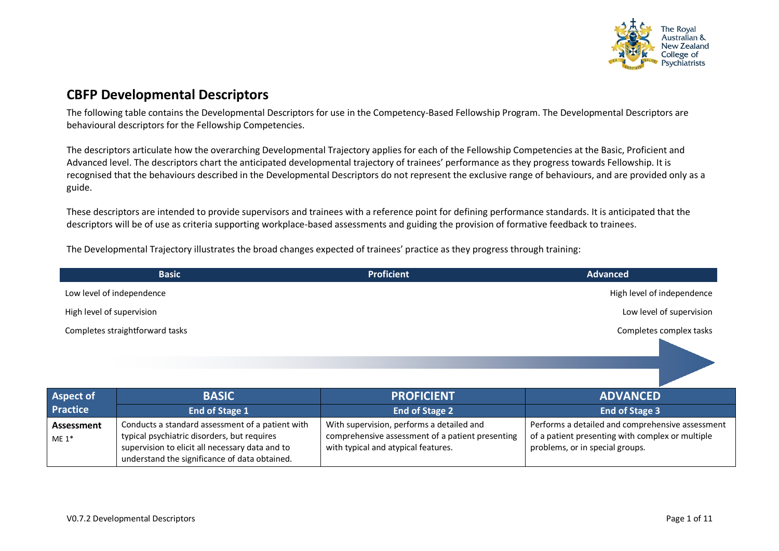

## **CBFP Developmental Descriptors**

The following table contains the Developmental Descriptors for use in the Competency-Based Fellowship Program. The Developmental Descriptors are behavioural descriptors for the Fellowship Competencies.

The descriptors articulate how the overarching Developmental Trajectory applies for each of the Fellowship Competencies at the Basic, Proficient and Advanced level. The descriptors chart the anticipated developmental trajectory of trainees' performance as they progress towards Fellowship. It is recognised that the behaviours described in the Developmental Descriptors do not represent the exclusive range of behaviours, and are provided only as a guide.

These descriptors are intended to provide supervisors and trainees with a reference point for defining performance standards. It is anticipated that the descriptors will be of use as criteria supporting workplace-based assessments and guiding the provision of formative feedback to trainees.

The Developmental Trajectory illustrates the broad changes expected of trainees' practice as they progress through training:

| <b>Basic</b>                    | <b>Proficient</b> | <b>Advanced</b>            |
|---------------------------------|-------------------|----------------------------|
| Low level of independence       |                   | High level of independence |
| High level of supervision       |                   | Low level of supervision   |
| Completes straightforward tasks |                   | Completes complex tasks    |

| <b>Aspect of</b>      | <b>BASIC</b>                                                                                                                                                                                        | <b>PROFICIENT</b>                                                                                                                    | <b>ADVANCED</b>                                                                                                                         |
|-----------------------|-----------------------------------------------------------------------------------------------------------------------------------------------------------------------------------------------------|--------------------------------------------------------------------------------------------------------------------------------------|-----------------------------------------------------------------------------------------------------------------------------------------|
| <b>Practice</b>       | <b>End of Stage 1</b>                                                                                                                                                                               | <b>End of Stage 2</b>                                                                                                                | <b>End of Stage 3</b>                                                                                                                   |
| Assessment<br>$ME 1*$ | Conducts a standard assessment of a patient with<br>typical psychiatric disorders, but requires<br>supervision to elicit all necessary data and to<br>understand the significance of data obtained. | With supervision, performs a detailed and<br>comprehensive assessment of a patient presenting<br>with typical and atypical features. | Performs a detailed and comprehensive assessment<br>of a patient presenting with complex or multiple<br>problems, or in special groups. |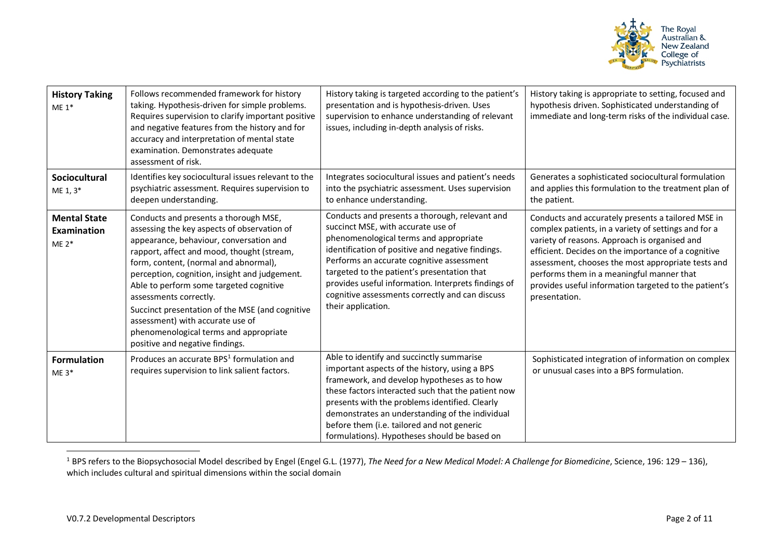<span id="page-1-0"></span>

| <b>History Taking</b><br>$ME 1*$                     | Follows recommended framework for history<br>taking. Hypothesis-driven for simple problems.<br>Requires supervision to clarify important positive<br>and negative features from the history and for<br>accuracy and interpretation of mental state<br>examination. Demonstrates adequate<br>assessment of risk.                                                                                                                                                                                                  | History taking is targeted according to the patient's<br>presentation and is hypothesis-driven. Uses<br>supervision to enhance understanding of relevant<br>issues, including in-depth analysis of risks.                                                                                                                                                                                                       | History taking is appropriate to setting, focused and<br>hypothesis driven. Sophisticated understanding of<br>immediate and long-term risks of the individual case.                                                                                                                                                                                                                             |
|------------------------------------------------------|------------------------------------------------------------------------------------------------------------------------------------------------------------------------------------------------------------------------------------------------------------------------------------------------------------------------------------------------------------------------------------------------------------------------------------------------------------------------------------------------------------------|-----------------------------------------------------------------------------------------------------------------------------------------------------------------------------------------------------------------------------------------------------------------------------------------------------------------------------------------------------------------------------------------------------------------|-------------------------------------------------------------------------------------------------------------------------------------------------------------------------------------------------------------------------------------------------------------------------------------------------------------------------------------------------------------------------------------------------|
| <b>Sociocultural</b><br>ME 1, 3*                     | Identifies key sociocultural issues relevant to the<br>psychiatric assessment. Requires supervision to<br>deepen understanding.                                                                                                                                                                                                                                                                                                                                                                                  | Integrates sociocultural issues and patient's needs<br>into the psychiatric assessment. Uses supervision<br>to enhance understanding.                                                                                                                                                                                                                                                                           | Generates a sophisticated sociocultural formulation<br>and applies this formulation to the treatment plan of<br>the patient.                                                                                                                                                                                                                                                                    |
| <b>Mental State</b><br><b>Examination</b><br>$ME 2*$ | Conducts and presents a thorough MSE,<br>assessing the key aspects of observation of<br>appearance, behaviour, conversation and<br>rapport, affect and mood, thought (stream,<br>form, content, (normal and abnormal),<br>perception, cognition, insight and judgement.<br>Able to perform some targeted cognitive<br>assessments correctly.<br>Succinct presentation of the MSE (and cognitive<br>assessment) with accurate use of<br>phenomenological terms and appropriate<br>positive and negative findings. | Conducts and presents a thorough, relevant and<br>succinct MSE, with accurate use of<br>phenomenological terms and appropriate<br>identification of positive and negative findings.<br>Performs an accurate cognitive assessment<br>targeted to the patient's presentation that<br>provides useful information. Interprets findings of<br>cognitive assessments correctly and can discuss<br>their application. | Conducts and accurately presents a tailored MSE in<br>complex patients, in a variety of settings and for a<br>variety of reasons. Approach is organised and<br>efficient. Decides on the importance of a cognitive<br>assessment, chooses the most appropriate tests and<br>performs them in a meaningful manner that<br>provides useful information targeted to the patient's<br>presentation. |
| <b>Formulation</b><br>$ME 3*$                        | Produces an accurate BPS <sup>1</sup> formulation and<br>requires supervision to link salient factors.                                                                                                                                                                                                                                                                                                                                                                                                           | Able to identify and succinctly summarise<br>important aspects of the history, using a BPS<br>framework, and develop hypotheses as to how<br>these factors interacted such that the patient now<br>presents with the problems identified. Clearly<br>demonstrates an understanding of the individual<br>before them (i.e. tailored and not generic<br>formulations). Hypotheses should be based on              | Sophisticated integration of information on complex<br>or unusual cases into a BPS formulation.                                                                                                                                                                                                                                                                                                 |

<sup>&</sup>lt;sup>1</sup> BPS refers to the Biopsychosocial Model described by Engel (Engel G.L. (1977), The Need for a New Medical Model: A Challenge for Biomedicine, Science, 196: 129 - 136), which includes cultural and spiritual dimensions within the social domain

 $\overline{a}$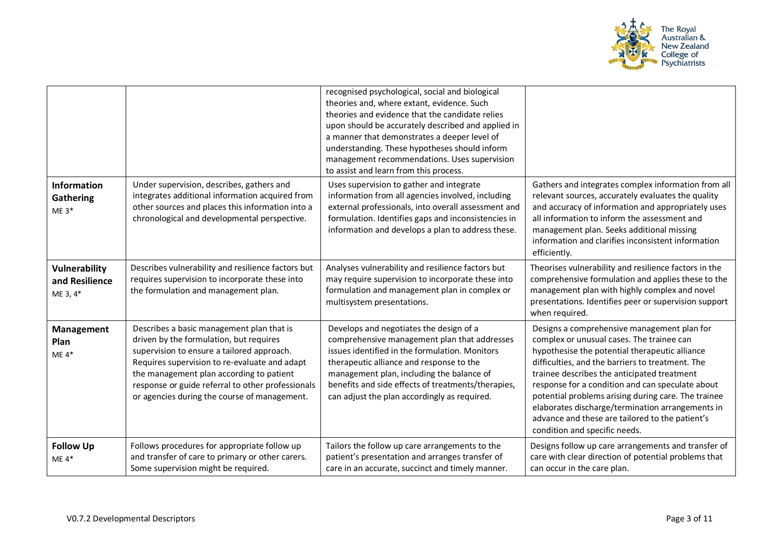

|                                                    |                                                                                                                                                                                                                                                                                                                                      | recognised psychological, social and biological<br>theories and, where extant, evidence. Such<br>theories and evidence that the candidate relies<br>upon should be accurately described and applied in<br>a manner that demonstrates a deeper level of<br>understanding. These hypotheses should inform<br>management recommendations. Uses supervision<br>to assist and learn from this process. |                                                                                                                                                                                                                                                                                                                                                                                                                                                                                                  |
|----------------------------------------------------|--------------------------------------------------------------------------------------------------------------------------------------------------------------------------------------------------------------------------------------------------------------------------------------------------------------------------------------|---------------------------------------------------------------------------------------------------------------------------------------------------------------------------------------------------------------------------------------------------------------------------------------------------------------------------------------------------------------------------------------------------|--------------------------------------------------------------------------------------------------------------------------------------------------------------------------------------------------------------------------------------------------------------------------------------------------------------------------------------------------------------------------------------------------------------------------------------------------------------------------------------------------|
| Information<br>Gathering<br>$ME 3*$                | Under supervision, describes, gathers and<br>integrates additional information acquired from<br>other sources and places this information into a<br>chronological and developmental perspective.                                                                                                                                     | Uses supervision to gather and integrate<br>information from all agencies involved, including<br>external professionals, into overall assessment and<br>formulation. Identifies gaps and inconsistencies in<br>information and develops a plan to address these.                                                                                                                                  | Gathers and integrates complex information from all<br>relevant sources, accurately evaluates the quality<br>and accuracy of information and appropriately uses<br>all information to inform the assessment and<br>management plan. Seeks additional missing<br>information and clarifies inconsistent information<br>efficiently.                                                                                                                                                               |
| <b>Vulnerability</b><br>and Resilience<br>ME 3, 4* | Describes vulnerability and resilience factors but<br>requires supervision to incorporate these into<br>the formulation and management plan.                                                                                                                                                                                         | Analyses vulnerability and resilience factors but<br>may require supervision to incorporate these into<br>formulation and management plan in complex or<br>multisystem presentations.                                                                                                                                                                                                             | Theorises vulnerability and resilience factors in the<br>comprehensive formulation and applies these to the<br>management plan with highly complex and novel<br>presentations. Identifies peer or supervision support<br>when required.                                                                                                                                                                                                                                                          |
| Management<br>Plan<br>$ME 4*$                      | Describes a basic management plan that is<br>driven by the formulation, but requires<br>supervision to ensure a tailored approach.<br>Requires supervision to re-evaluate and adapt<br>the management plan according to patient<br>response or guide referral to other professionals<br>or agencies during the course of management. | Develops and negotiates the design of a<br>comprehensive management plan that addresses<br>issues identified in the formulation. Monitors<br>therapeutic alliance and response to the<br>management plan, including the balance of<br>benefits and side effects of treatments/therapies,<br>can adjust the plan accordingly as required.                                                          | Designs a comprehensive management plan for<br>complex or unusual cases. The trainee can<br>hypothesise the potential therapeutic alliance<br>difficulties, and the barriers to treatment. The<br>trainee describes the anticipated treatment<br>response for a condition and can speculate about<br>potential problems arising during care. The trainee<br>elaborates discharge/termination arrangements in<br>advance and these are tailored to the patient's<br>condition and specific needs. |
| <b>Follow Up</b><br>$ME 4*$                        | Follows procedures for appropriate follow up<br>and transfer of care to primary or other carers.<br>Some supervision might be required.                                                                                                                                                                                              | Tailors the follow up care arrangements to the<br>patient's presentation and arranges transfer of<br>care in an accurate, succinct and timely manner.                                                                                                                                                                                                                                             | Designs follow up care arrangements and transfer of<br>care with clear direction of potential problems that<br>can occur in the care plan.                                                                                                                                                                                                                                                                                                                                                       |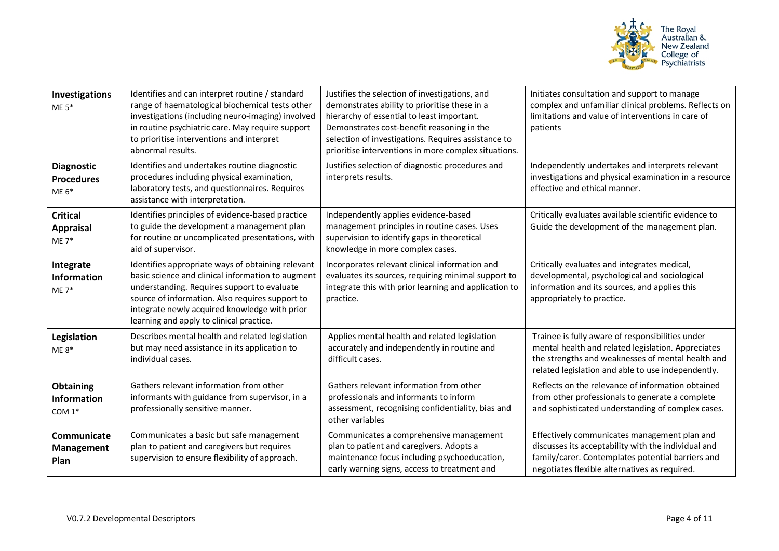

| <b>Investigations</b><br>$ME 5*$                  | Identifies and can interpret routine / standard<br>range of haematological biochemical tests other<br>investigations (including neuro-imaging) involved<br>in routine psychiatric care. May require support<br>to prioritise interventions and interpret<br>abnormal results.                         | Justifies the selection of investigations, and<br>demonstrates ability to prioritise these in a<br>hierarchy of essential to least important.<br>Demonstrates cost-benefit reasoning in the<br>selection of investigations. Requires assistance to<br>prioritise interventions in more complex situations. | Initiates consultation and support to manage<br>complex and unfamiliar clinical problems. Reflects on<br>limitations and value of interventions in care of<br>patients                                            |
|---------------------------------------------------|-------------------------------------------------------------------------------------------------------------------------------------------------------------------------------------------------------------------------------------------------------------------------------------------------------|------------------------------------------------------------------------------------------------------------------------------------------------------------------------------------------------------------------------------------------------------------------------------------------------------------|-------------------------------------------------------------------------------------------------------------------------------------------------------------------------------------------------------------------|
| <b>Diagnostic</b><br><b>Procedures</b><br>$ME 6*$ | Identifies and undertakes routine diagnostic<br>procedures including physical examination,<br>laboratory tests, and questionnaires. Requires<br>assistance with interpretation.                                                                                                                       | Justifies selection of diagnostic procedures and<br>interprets results.                                                                                                                                                                                                                                    | Independently undertakes and interprets relevant<br>investigations and physical examination in a resource<br>effective and ethical manner.                                                                        |
| <b>Critical</b><br><b>Appraisal</b><br>$ME 7*$    | Identifies principles of evidence-based practice<br>to guide the development a management plan<br>for routine or uncomplicated presentations, with<br>aid of supervisor.                                                                                                                              | Independently applies evidence-based<br>management principles in routine cases. Uses<br>supervision to identify gaps in theoretical<br>knowledge in more complex cases.                                                                                                                                    | Critically evaluates available scientific evidence to<br>Guide the development of the management plan.                                                                                                            |
| Integrate<br><b>Information</b><br>$ME 7*$        | Identifies appropriate ways of obtaining relevant<br>basic science and clinical information to augment<br>understanding. Requires support to evaluate<br>source of information. Also requires support to<br>integrate newly acquired knowledge with prior<br>learning and apply to clinical practice. | Incorporates relevant clinical information and<br>evaluates its sources, requiring minimal support to<br>integrate this with prior learning and application to<br>practice.                                                                                                                                | Critically evaluates and integrates medical,<br>developmental, psychological and sociological<br>information and its sources, and applies this<br>appropriately to practice.                                      |
| <b>Legislation</b><br>$ME 8*$                     | Describes mental health and related legislation<br>but may need assistance in its application to<br>individual cases.                                                                                                                                                                                 | Applies mental health and related legislation<br>accurately and independently in routine and<br>difficult cases.                                                                                                                                                                                           | Trainee is fully aware of responsibilities under<br>mental health and related legislation. Appreciates<br>the strengths and weaknesses of mental health and<br>related legislation and able to use independently. |
| Obtaining<br><b>Information</b><br>COM $1*$       | Gathers relevant information from other<br>informants with guidance from supervisor, in a<br>professionally sensitive manner.                                                                                                                                                                         | Gathers relevant information from other<br>professionals and informants to inform<br>assessment, recognising confidentiality, bias and<br>other variables                                                                                                                                                  | Reflects on the relevance of information obtained<br>from other professionals to generate a complete<br>and sophisticated understanding of complex cases.                                                         |
| Communicate<br>Management<br>Plan                 | Communicates a basic but safe management<br>plan to patient and caregivers but requires<br>supervision to ensure flexibility of approach.                                                                                                                                                             | Communicates a comprehensive management<br>plan to patient and caregivers. Adopts a<br>maintenance focus including psychoeducation,<br>early warning signs, access to treatment and                                                                                                                        | Effectively communicates management plan and<br>discusses its acceptability with the individual and<br>family/carer. Contemplates potential barriers and<br>negotiates flexible alternatives as required.         |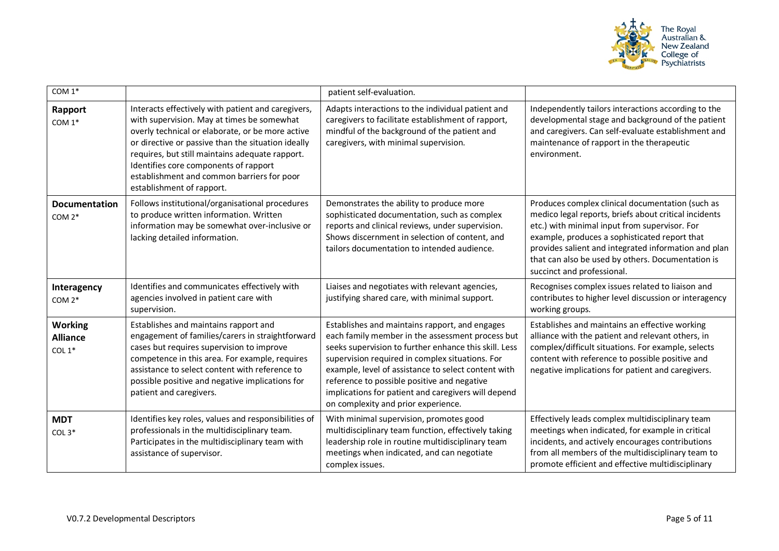

| COM 1*                                        |                                                                                                                                                                                                                                                                                                                                                                                   | patient self-evaluation.                                                                                                                                                                                                                                                                                                                                                                                           |                                                                                                                                                                                                                                                                                                                                                        |
|-----------------------------------------------|-----------------------------------------------------------------------------------------------------------------------------------------------------------------------------------------------------------------------------------------------------------------------------------------------------------------------------------------------------------------------------------|--------------------------------------------------------------------------------------------------------------------------------------------------------------------------------------------------------------------------------------------------------------------------------------------------------------------------------------------------------------------------------------------------------------------|--------------------------------------------------------------------------------------------------------------------------------------------------------------------------------------------------------------------------------------------------------------------------------------------------------------------------------------------------------|
| Rapport<br>COM 1*                             | Interacts effectively with patient and caregivers,<br>with supervision. May at times be somewhat<br>overly technical or elaborate, or be more active<br>or directive or passive than the situation ideally<br>requires, but still maintains adequate rapport.<br>Identifies core components of rapport<br>establishment and common barriers for poor<br>establishment of rapport. | Adapts interactions to the individual patient and<br>caregivers to facilitate establishment of rapport,<br>mindful of the background of the patient and<br>caregivers, with minimal supervision.                                                                                                                                                                                                                   | Independently tailors interactions according to the<br>developmental stage and background of the patient<br>and caregivers. Can self-evaluate establishment and<br>maintenance of rapport in the therapeutic<br>environment.                                                                                                                           |
| <b>Documentation</b><br>COM $2*$              | Follows institutional/organisational procedures<br>to produce written information. Written<br>information may be somewhat over-inclusive or<br>lacking detailed information.                                                                                                                                                                                                      | Demonstrates the ability to produce more<br>sophisticated documentation, such as complex<br>reports and clinical reviews, under supervision.<br>Shows discernment in selection of content, and<br>tailors documentation to intended audience.                                                                                                                                                                      | Produces complex clinical documentation (such as<br>medico legal reports, briefs about critical incidents<br>etc.) with minimal input from supervisor. For<br>example, produces a sophisticated report that<br>provides salient and integrated information and plan<br>that can also be used by others. Documentation is<br>succinct and professional. |
| Interagency<br>COM 2*                         | Identifies and communicates effectively with<br>agencies involved in patient care with<br>supervision.                                                                                                                                                                                                                                                                            | Liaises and negotiates with relevant agencies,<br>justifying shared care, with minimal support.                                                                                                                                                                                                                                                                                                                    | Recognises complex issues related to liaison and<br>contributes to higher level discussion or interagency<br>working groups.                                                                                                                                                                                                                           |
| <b>Working</b><br><b>Alliance</b><br>COL $1*$ | Establishes and maintains rapport and<br>engagement of families/carers in straightforward<br>cases but requires supervision to improve<br>competence in this area. For example, requires<br>assistance to select content with reference to<br>possible positive and negative implications for<br>patient and caregivers.                                                          | Establishes and maintains rapport, and engages<br>each family member in the assessment process but<br>seeks supervision to further enhance this skill. Less<br>supervision required in complex situations. For<br>example, level of assistance to select content with<br>reference to possible positive and negative<br>implications for patient and caregivers will depend<br>on complexity and prior experience. | Establishes and maintains an effective working<br>alliance with the patient and relevant others, in<br>complex/difficult situations. For example, selects<br>content with reference to possible positive and<br>negative implications for patient and caregivers.                                                                                      |
| <b>MDT</b><br>COL $3*$                        | Identifies key roles, values and responsibilities of<br>professionals in the multidisciplinary team.<br>Participates in the multidisciplinary team with<br>assistance of supervisor.                                                                                                                                                                                              | With minimal supervision, promotes good<br>multidisciplinary team function, effectively taking<br>leadership role in routine multidisciplinary team<br>meetings when indicated, and can negotiate<br>complex issues.                                                                                                                                                                                               | Effectively leads complex multidisciplinary team<br>meetings when indicated, for example in critical<br>incidents, and actively encourages contributions<br>from all members of the multidisciplinary team to<br>promote efficient and effective multidisciplinary                                                                                     |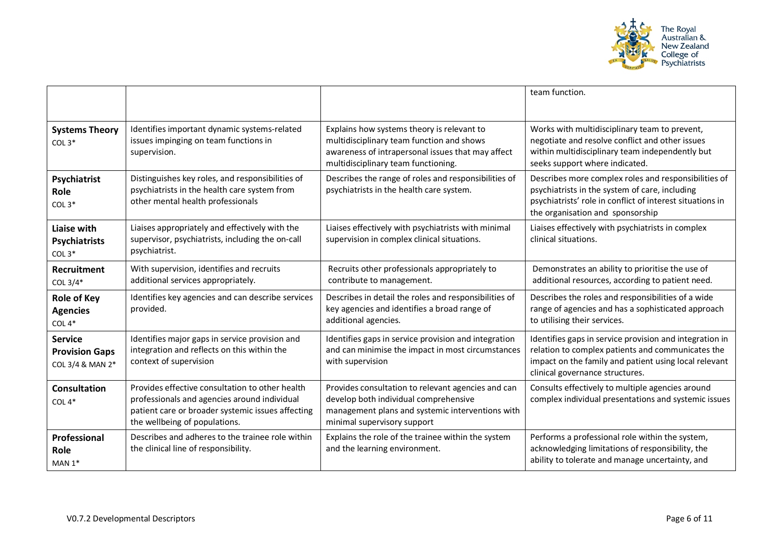

|                                                             |                                                                                                                                                                                       |                                                                                                                                                                                     | team function.                                                                                                                                                                                           |
|-------------------------------------------------------------|---------------------------------------------------------------------------------------------------------------------------------------------------------------------------------------|-------------------------------------------------------------------------------------------------------------------------------------------------------------------------------------|----------------------------------------------------------------------------------------------------------------------------------------------------------------------------------------------------------|
| <b>Systems Theory</b><br>$COL3*$                            | Identifies important dynamic systems-related<br>issues impinging on team functions in<br>supervision.                                                                                 | Explains how systems theory is relevant to<br>multidisciplinary team function and shows<br>awareness of intrapersonal issues that may affect<br>multidisciplinary team functioning. | Works with multidisciplinary team to prevent,<br>negotiate and resolve conflict and other issues<br>within multidisciplinary team independently but<br>seeks support where indicated.                    |
| Psychiatrist<br>Role<br>COL $3*$                            | Distinguishes key roles, and responsibilities of<br>psychiatrists in the health care system from<br>other mental health professionals                                                 | Describes the range of roles and responsibilities of<br>psychiatrists in the health care system.                                                                                    | Describes more complex roles and responsibilities of<br>psychiatrists in the system of care, including<br>psychiatrists' role in conflict of interest situations in<br>the organisation and sponsorship  |
| Liaise with<br><b>Psychiatrists</b><br>COL $3*$             | Liaises appropriately and effectively with the<br>supervisor, psychiatrists, including the on-call<br>psychiatrist.                                                                   | Liaises effectively with psychiatrists with minimal<br>supervision in complex clinical situations.                                                                                  | Liaises effectively with psychiatrists in complex<br>clinical situations.                                                                                                                                |
| Recruitment<br>COL $3/4^*$                                  | With supervision, identifies and recruits<br>additional services appropriately.                                                                                                       | Recruits other professionals appropriately to<br>contribute to management.                                                                                                          | Demonstrates an ability to prioritise the use of<br>additional resources, according to patient need.                                                                                                     |
| <b>Role of Key</b><br><b>Agencies</b><br>COL $4*$           | Identifies key agencies and can describe services<br>provided.                                                                                                                        | Describes in detail the roles and responsibilities of<br>key agencies and identifies a broad range of<br>additional agencies.                                                       | Describes the roles and responsibilities of a wide<br>range of agencies and has a sophisticated approach<br>to utilising their services.                                                                 |
| <b>Service</b><br><b>Provision Gaps</b><br>COL 3/4 & MAN 2* | Identifies major gaps in service provision and<br>integration and reflects on this within the<br>context of supervision                                                               | Identifies gaps in service provision and integration<br>and can minimise the impact in most circumstances<br>with supervision                                                       | Identifies gaps in service provision and integration in<br>relation to complex patients and communicates the<br>impact on the family and patient using local relevant<br>clinical governance structures. |
| <b>Consultation</b><br>COL $4*$                             | Provides effective consultation to other health<br>professionals and agencies around individual<br>patient care or broader systemic issues affecting<br>the wellbeing of populations. | Provides consultation to relevant agencies and can<br>develop both individual comprehensive<br>management plans and systemic interventions with<br>minimal supervisory support      | Consults effectively to multiple agencies around<br>complex individual presentations and systemic issues                                                                                                 |
| Professional<br>Role<br>$MAN 1*$                            | Describes and adheres to the trainee role within<br>the clinical line of responsibility.                                                                                              | Explains the role of the trainee within the system<br>and the learning environment.                                                                                                 | Performs a professional role within the system,<br>acknowledging limitations of responsibility, the<br>ability to tolerate and manage uncertainty, and                                                   |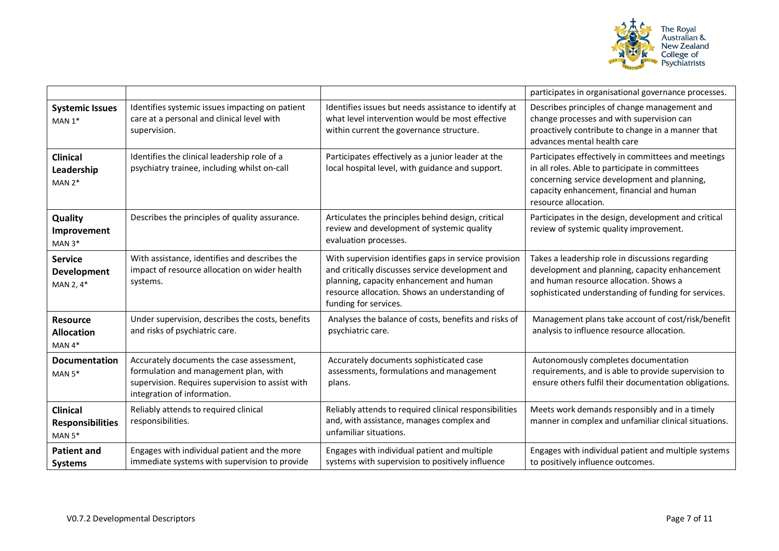

|                                                        |                                                                                                                                                                       |                                                                                                                                                                                                                                  | participates in organisational governance processes.                                                                                                                                                                        |
|--------------------------------------------------------|-----------------------------------------------------------------------------------------------------------------------------------------------------------------------|----------------------------------------------------------------------------------------------------------------------------------------------------------------------------------------------------------------------------------|-----------------------------------------------------------------------------------------------------------------------------------------------------------------------------------------------------------------------------|
| <b>Systemic Issues</b><br>MAN $1*$                     | Identifies systemic issues impacting on patient<br>care at a personal and clinical level with<br>supervision.                                                         | Identifies issues but needs assistance to identify at<br>what level intervention would be most effective<br>within current the governance structure.                                                                             | Describes principles of change management and<br>change processes and with supervision can<br>proactively contribute to change in a manner that<br>advances mental health care                                              |
| <b>Clinical</b><br>Leadership<br>$MAN 2*$              | Identifies the clinical leadership role of a<br>psychiatry trainee, including whilst on-call                                                                          | Participates effectively as a junior leader at the<br>local hospital level, with guidance and support.                                                                                                                           | Participates effectively in committees and meetings<br>in all roles. Able to participate in committees<br>concerning service development and planning,<br>capacity enhancement, financial and human<br>resource allocation. |
| Quality<br>Improvement<br>$MAN 3*$                     | Describes the principles of quality assurance.                                                                                                                        | Articulates the principles behind design, critical<br>review and development of systemic quality<br>evaluation processes.                                                                                                        | Participates in the design, development and critical<br>review of systemic quality improvement.                                                                                                                             |
| <b>Service</b><br><b>Development</b><br>MAN 2, 4*      | With assistance, identifies and describes the<br>impact of resource allocation on wider health<br>systems.                                                            | With supervision identifies gaps in service provision<br>and critically discusses service development and<br>planning, capacity enhancement and human<br>resource allocation. Shows an understanding of<br>funding for services. | Takes a leadership role in discussions regarding<br>development and planning, capacity enhancement<br>and human resource allocation. Shows a<br>sophisticated understanding of funding for services.                        |
| <b>Resource</b><br><b>Allocation</b><br>$MAN 4*$       | Under supervision, describes the costs, benefits<br>and risks of psychiatric care.                                                                                    | Analyses the balance of costs, benefits and risks of<br>psychiatric care.                                                                                                                                                        | Management plans take account of cost/risk/benefit<br>analysis to influence resource allocation.                                                                                                                            |
| <b>Documentation</b><br>MAN $5*$                       | Accurately documents the case assessment,<br>formulation and management plan, with<br>supervision. Requires supervision to assist with<br>integration of information. | Accurately documents sophisticated case<br>assessments, formulations and management<br>plans.                                                                                                                                    | Autonomously completes documentation<br>requirements, and is able to provide supervision to<br>ensure others fulfil their documentation obligations.                                                                        |
| <b>Clinical</b><br><b>Responsibilities</b><br>MAN $5*$ | Reliably attends to required clinical<br>responsibilities.                                                                                                            | Reliably attends to required clinical responsibilities<br>and, with assistance, manages complex and<br>unfamiliar situations.                                                                                                    | Meets work demands responsibly and in a timely<br>manner in complex and unfamiliar clinical situations.                                                                                                                     |
| <b>Patient and</b><br><b>Systems</b>                   | Engages with individual patient and the more<br>immediate systems with supervision to provide                                                                         | Engages with individual patient and multiple<br>systems with supervision to positively influence                                                                                                                                 | Engages with individual patient and multiple systems<br>to positively influence outcomes.                                                                                                                                   |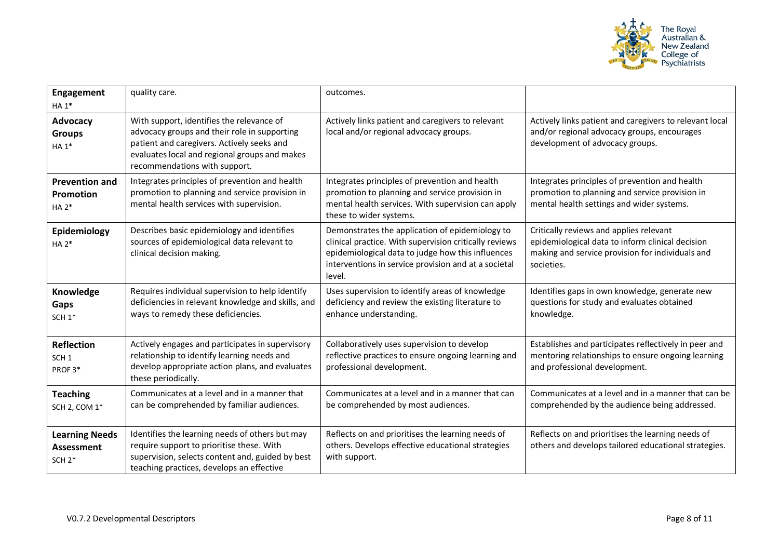

| <b>Engagement</b><br>HA 1*                             | quality care.                                                                                                                                                                                                             | outcomes.                                                                                                                                                                                                                        |                                                                                                                                                               |
|--------------------------------------------------------|---------------------------------------------------------------------------------------------------------------------------------------------------------------------------------------------------------------------------|----------------------------------------------------------------------------------------------------------------------------------------------------------------------------------------------------------------------------------|---------------------------------------------------------------------------------------------------------------------------------------------------------------|
| Advocacy<br><b>Groups</b><br>HA 1*                     | With support, identifies the relevance of<br>advocacy groups and their role in supporting<br>patient and caregivers. Actively seeks and<br>evaluates local and regional groups and makes<br>recommendations with support. | Actively links patient and caregivers to relevant<br>local and/or regional advocacy groups.                                                                                                                                      | Actively links patient and caregivers to relevant local<br>and/or regional advocacy groups, encourages<br>development of advocacy groups.                     |
| <b>Prevention and</b><br>Promotion<br>$HA 2*$          | Integrates principles of prevention and health<br>promotion to planning and service provision in<br>mental health services with supervision.                                                                              | Integrates principles of prevention and health<br>promotion to planning and service provision in<br>mental health services. With supervision can apply<br>these to wider systems.                                                | Integrates principles of prevention and health<br>promotion to planning and service provision in<br>mental health settings and wider systems.                 |
| Epidemiology<br>$HA 2*$                                | Describes basic epidemiology and identifies<br>sources of epidemiological data relevant to<br>clinical decision making.                                                                                                   | Demonstrates the application of epidemiology to<br>clinical practice. With supervision critically reviews<br>epidemiological data to judge how this influences<br>interventions in service provision and at a societal<br>level. | Critically reviews and applies relevant<br>epidemiological data to inform clinical decision<br>making and service provision for individuals and<br>societies. |
| Knowledge<br>Gaps<br>SCH <sub>1</sub> *                | Requires individual supervision to help identify<br>deficiencies in relevant knowledge and skills, and<br>ways to remedy these deficiencies.                                                                              | Uses supervision to identify areas of knowledge<br>deficiency and review the existing literature to<br>enhance understanding.                                                                                                    | Identifies gaps in own knowledge, generate new<br>questions for study and evaluates obtained<br>knowledge.                                                    |
| <b>Reflection</b><br>SCH <sub>1</sub><br>PROF3*        | Actively engages and participates in supervisory<br>relationship to identify learning needs and<br>develop appropriate action plans, and evaluates<br>these periodically.                                                 | Collaboratively uses supervision to develop<br>reflective practices to ensure ongoing learning and<br>professional development.                                                                                                  | Establishes and participates reflectively in peer and<br>mentoring relationships to ensure ongoing learning<br>and professional development.                  |
| <b>Teaching</b><br>SCH 2, COM 1*                       | Communicates at a level and in a manner that<br>can be comprehended by familiar audiences.                                                                                                                                | Communicates at a level and in a manner that can<br>be comprehended by most audiences.                                                                                                                                           | Communicates at a level and in a manner that can be<br>comprehended by the audience being addressed.                                                          |
| <b>Learning Needs</b><br><b>Assessment</b><br>$SCH 2*$ | Identifies the learning needs of others but may<br>require support to prioritise these. With<br>supervision, selects content and, guided by best<br>teaching practices, develops an effective                             | Reflects on and prioritises the learning needs of<br>others. Develops effective educational strategies<br>with support.                                                                                                          | Reflects on and prioritises the learning needs of<br>others and develops tailored educational strategies.                                                     |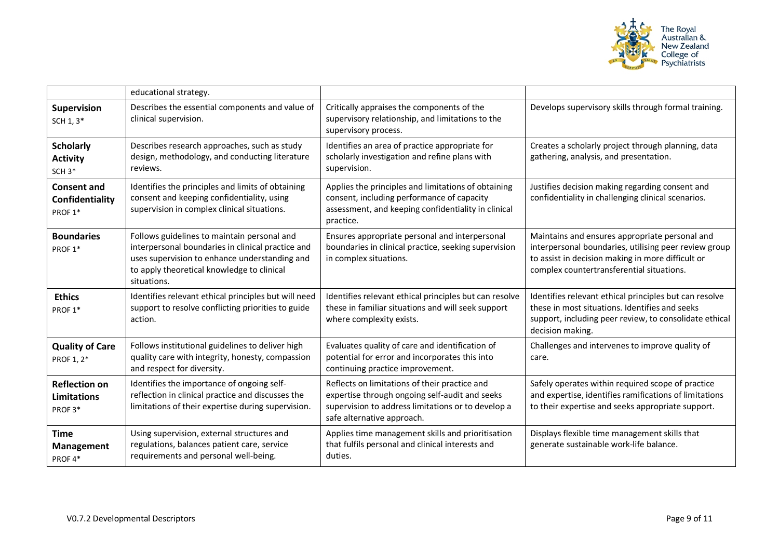

|                                                              | educational strategy.                                                                                                                                                                                          |                                                                                                                                                                                     |                                                                                                                                                                                                           |
|--------------------------------------------------------------|----------------------------------------------------------------------------------------------------------------------------------------------------------------------------------------------------------------|-------------------------------------------------------------------------------------------------------------------------------------------------------------------------------------|-----------------------------------------------------------------------------------------------------------------------------------------------------------------------------------------------------------|
| Supervision<br>SCH 1, 3*                                     | Describes the essential components and value of<br>clinical supervision.                                                                                                                                       | Critically appraises the components of the<br>supervisory relationship, and limitations to the<br>supervisory process.                                                              | Develops supervisory skills through formal training.                                                                                                                                                      |
| <b>Scholarly</b><br><b>Activity</b><br>SCH <sub>3</sub> *    | Describes research approaches, such as study<br>design, methodology, and conducting literature<br>reviews.                                                                                                     | Identifies an area of practice appropriate for<br>scholarly investigation and refine plans with<br>supervision.                                                                     | Creates a scholarly project through planning, data<br>gathering, analysis, and presentation.                                                                                                              |
| <b>Consent and</b><br>Confidentiality<br>PROF <sub>1</sub> * | Identifies the principles and limits of obtaining<br>consent and keeping confidentiality, using<br>supervision in complex clinical situations.                                                                 | Applies the principles and limitations of obtaining<br>consent, including performance of capacity<br>assessment, and keeping confidentiality in clinical<br>practice.               | Justifies decision making regarding consent and<br>confidentiality in challenging clinical scenarios.                                                                                                     |
| <b>Boundaries</b><br>PROF <sub>1</sub> *                     | Follows guidelines to maintain personal and<br>interpersonal boundaries in clinical practice and<br>uses supervision to enhance understanding and<br>to apply theoretical knowledge to clinical<br>situations. | Ensures appropriate personal and interpersonal<br>boundaries in clinical practice, seeking supervision<br>in complex situations.                                                    | Maintains and ensures appropriate personal and<br>interpersonal boundaries, utilising peer review group<br>to assist in decision making in more difficult or<br>complex countertransferential situations. |
| <b>Ethics</b><br>PROF <sub>1</sub> *                         | Identifies relevant ethical principles but will need<br>support to resolve conflicting priorities to guide<br>action.                                                                                          | Identifies relevant ethical principles but can resolve<br>these in familiar situations and will seek support<br>where complexity exists.                                            | Identifies relevant ethical principles but can resolve<br>these in most situations. Identifies and seeks<br>support, including peer review, to consolidate ethical<br>decision making.                    |
| <b>Quality of Care</b><br>PROF 1, 2*                         | Follows institutional guidelines to deliver high<br>quality care with integrity, honesty, compassion<br>and respect for diversity.                                                                             | Evaluates quality of care and identification of<br>potential for error and incorporates this into<br>continuing practice improvement.                                               | Challenges and intervenes to improve quality of<br>care.                                                                                                                                                  |
| <b>Reflection on</b><br>Limitations<br>PROF3*                | Identifies the importance of ongoing self-<br>reflection in clinical practice and discusses the<br>limitations of their expertise during supervision.                                                          | Reflects on limitations of their practice and<br>expertise through ongoing self-audit and seeks<br>supervision to address limitations or to develop a<br>safe alternative approach. | Safely operates within required scope of practice<br>and expertise, identifies ramifications of limitations<br>to their expertise and seeks appropriate support.                                          |
| <b>Time</b><br>Management<br>PROF4*                          | Using supervision, external structures and<br>regulations, balances patient care, service<br>requirements and personal well-being.                                                                             | Applies time management skills and prioritisation<br>that fulfils personal and clinical interests and<br>duties.                                                                    | Displays flexible time management skills that<br>generate sustainable work-life balance.                                                                                                                  |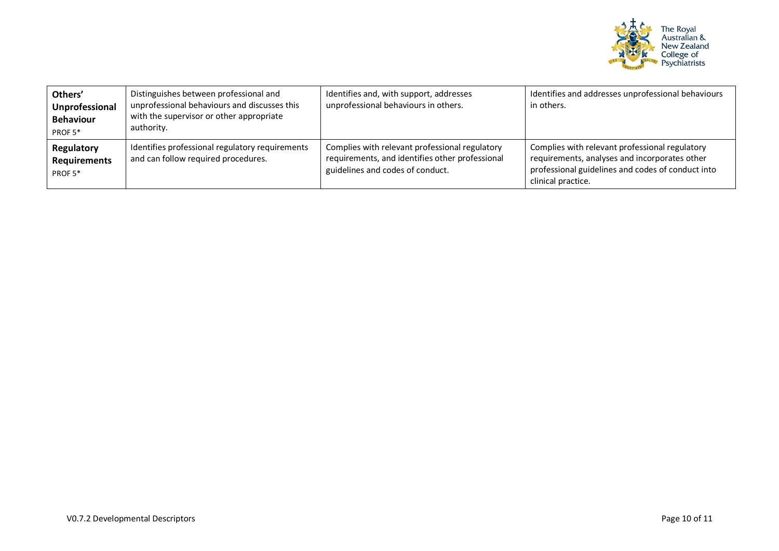

| Others'<br>Unprofessional<br><b>Behaviour</b><br>PROF <sub>5</sub> * | Distinguishes between professional and<br>unprofessional behaviours and discusses this<br>with the supervisor or other appropriate<br>authority. | Identifies and, with support, addresses<br>unprofessional behaviours in others.                                                       | Identifies and addresses unprofessional behaviours<br>in others.                                                                                                           |
|----------------------------------------------------------------------|--------------------------------------------------------------------------------------------------------------------------------------------------|---------------------------------------------------------------------------------------------------------------------------------------|----------------------------------------------------------------------------------------------------------------------------------------------------------------------------|
| Regulatory<br><b>Requirements</b><br>PROF <sub>5</sub> *             | Identifies professional regulatory requirements<br>and can follow required procedures.                                                           | Complies with relevant professional regulatory<br>requirements, and identifies other professional<br>guidelines and codes of conduct. | Complies with relevant professional regulatory<br>requirements, analyses and incorporates other<br>professional guidelines and codes of conduct into<br>clinical practice. |